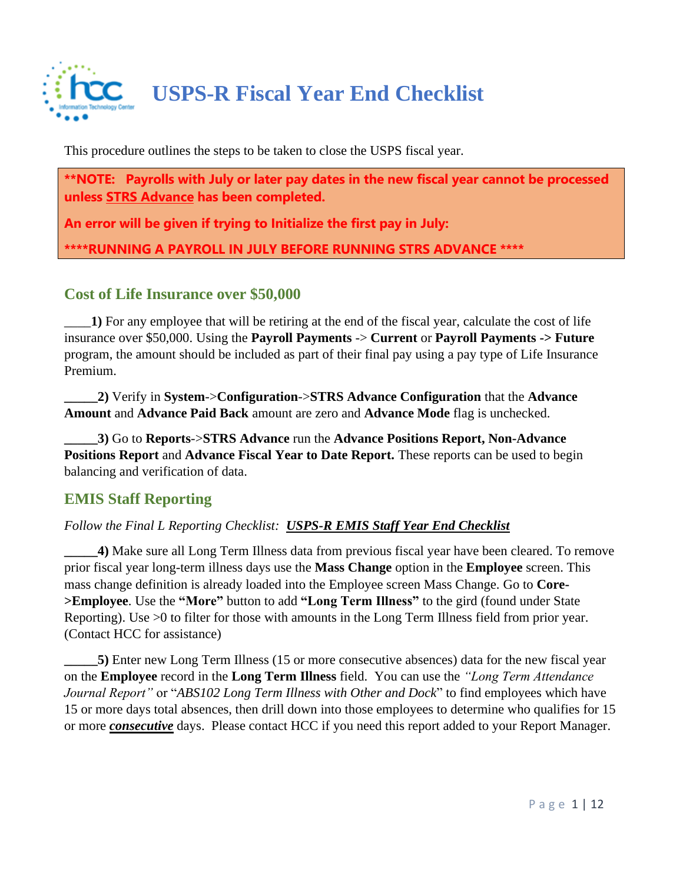

This procedure outlines the steps to be taken to close the USPS fiscal year.

**\*\*NOTE: Payrolls with July or later pay dates in the new fiscal year cannot be processed unless STRS Advance has been completed.** 

**An error will be given if trying to Initialize the first pay in July:** 

**\*\*\*\*RUNNING A PAYROLL IN JULY BEFORE RUNNING STRS ADVANCE \*\*\*\***

# **Cost of Life Insurance over \$50,000**

\_\_\_\_**1)** For any employee that will be retiring at the end of the fiscal year, calculate the cost of life insurance over \$50,000. Using the **Payroll Payments** -> **Current** or **Payroll Payments -> Future** program, the amount should be included as part of their final pay using a pay type of Life Insurance Premium.

**\_\_\_\_\_2)** Verify in **System**->**Configuration**->**STRS Advance Configuration** that the **Advance Amount** and **Advance Paid Back** amount are zero and **Advance Mode** flag is unchecked.

**\_\_\_\_\_3)** Go to **Reports**->**STRS Advance** run the **Advance Positions Report, Non-Advance Positions Report** and **Advance Fiscal Year to Date Report.** These reports can be used to begin balancing and verification of data.

# **EMIS Staff Reporting**

## *Follow the Final L Reporting Checklist: USPS-R EMIS Staff Year End Checklist*

**\_\_\_\_\_4)** Make sure all Long Term Illness data from previous fiscal year have been cleared. To remove prior fiscal year long-term illness days use the **Mass Change** option in the **Employee** screen. This mass change definition is already loaded into the Employee screen Mass Change. Go to **Core- >Employee**. Use the **"More"** button to add **"Long Term Illness"** to the gird (found under State Reporting). Use >0 to filter for those with amounts in the Long Term Illness field from prior year. (Contact HCC for assistance)

**\_\_\_\_\_5)** Enter new Long Term Illness (15 or more consecutive absences) data for the new fiscal year on the **Employee** record in the **Long Term Illness** field. You can use the *"Long Term Attendance Journal Report"* or "*ABS102 Long Term Illness with Other and Dock*" to find employees which have 15 or more days total absences, then drill down into those employees to determine who qualifies for 15 or more *consecutive* days. Please contact HCC if you need this report added to your Report Manager.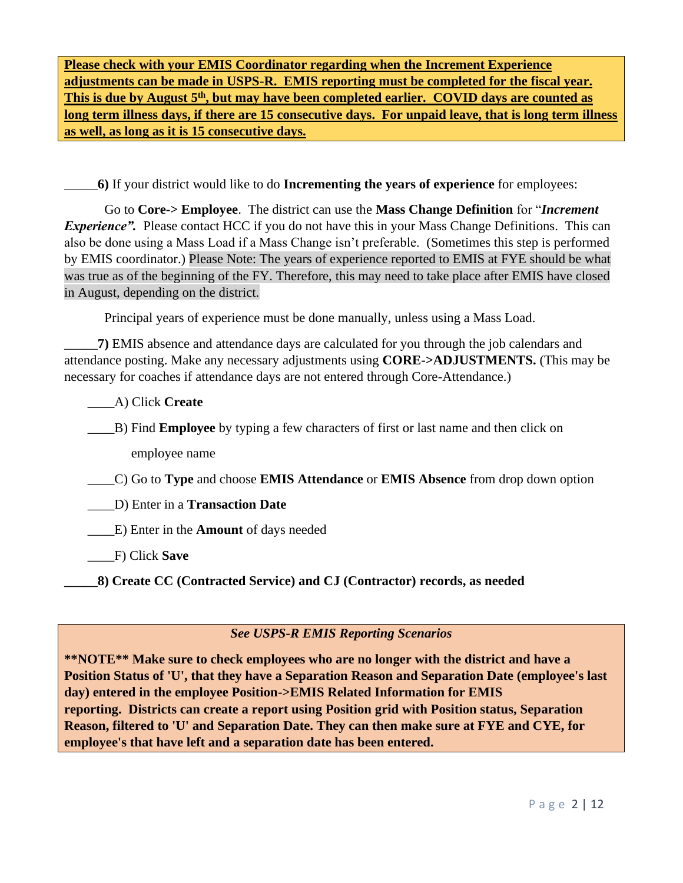**Please check with your EMIS Coordinator regarding when the Increment Experience adjustments can be made in USPS-R. EMIS reporting must be completed for the fiscal year.**  This is due by August 5<sup>th</sup>, but may have been completed earlier. COVID days are counted as **long term illness days, if there are 15 consecutive days. For unpaid leave, that is long term illness as well, as long as it is 15 consecutive days.**

\_\_\_\_\_**6)** If your district would like to do **Incrementing the years of experience** for employees:

 Go to **Core-> Employee**. The district can use the **Mass Change Definition** for "*Increment Experience".* Please contact HCC if you do not have this in your Mass Change Definitions. This can also be done using a Mass Load if a Mass Change isn't preferable. (Sometimes this step is performed by EMIS coordinator.) Please Note: The years of experience reported to EMIS at FYE should be what was true as of the beginning of the FY. Therefore, this may need to take place after EMIS have closed in August, depending on the district.

Principal years of experience must be done manually, unless using a Mass Load.

*\_\_\_\_\_***7)** EMIS absence and attendance days are calculated for you through the job calendars and attendance posting. Make any necessary adjustments using **CORE->ADJUSTMENTS.** (This may be necessary for coaches if attendance days are not entered through Core-Attendance.)

\_\_\_\_A) Click **Create**

\_\_\_\_B) Find **Employee** by typing a few characters of first or last name and then click on

employee name

\_\_\_\_C) Go to **Type** and choose **EMIS Attendance** or **EMIS Absence** from drop down option

\_\_\_\_D) Enter in a **Transaction Date**

\_\_\_\_E) Enter in the **Amount** of days needed

\_\_\_\_F) Click **Save**

**\_\_\_\_\_8) Create CC (Contracted Service) and CJ (Contractor) records, as needed**

### *See USPS-R EMIS Reporting Scenarios*

**\*\*NOTE\*\* Make sure to check employees who are no longer with the district and have a Position Status of 'U', that they have a Separation Reason and Separation Date (employee's last day) entered in the employee Position->EMIS Related Information for EMIS reporting. Districts can create a report using Position grid with Position status, Separation Reason, filtered to 'U' and Separation Date. They can then make sure at FYE and CYE, for employee's that have left and a separation date has been entered.**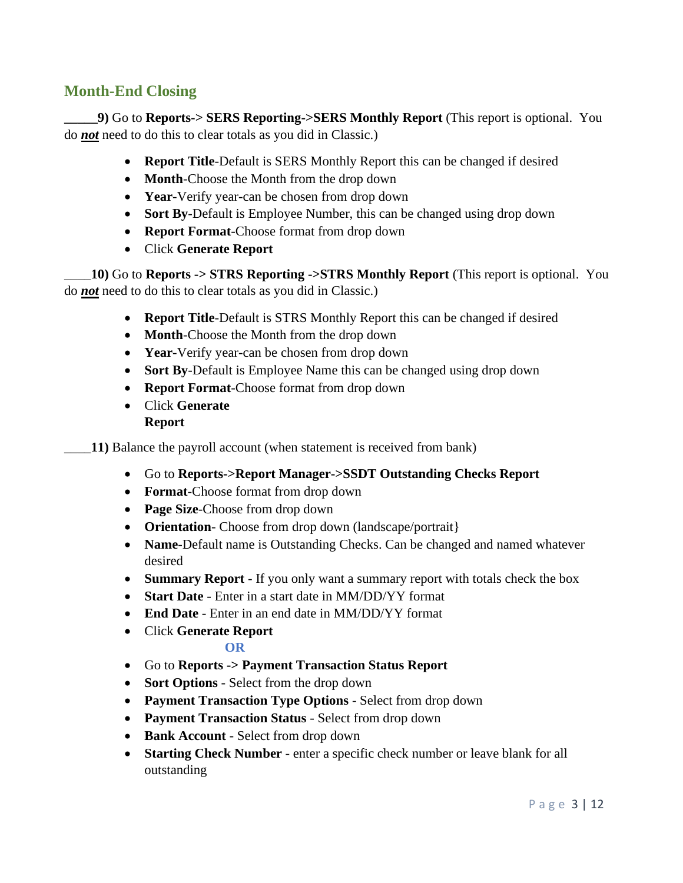# **Month-End Closing**

**\_\_\_\_\_9)** Go to **Reports-> SERS Reporting->SERS Monthly Report** (This report is optional. You do *not* need to do this to clear totals as you did in Classic.)

- **Report Title**-Default is SERS Monthly Report this can be changed if desired
- **Month**-Choose the Month from the drop down
- **Year-Verify year-can be chosen from drop down**
- **Sort By-Default is Employee Number, this can be changed using drop down**
- **Report Format**-Choose format from drop down
- Click **Generate Report**

\_\_\_\_**10)** Go to **Reports -> STRS Reporting ->STRS Monthly Report** (This report is optional. You do *not* need to do this to clear totals as you did in Classic.)

- **Report Title**-Default is STRS Monthly Report this can be changed if desired
- **Month**-Choose the Month from the drop down
- **Year-Verify year-can be chosen from drop down**
- **Sort By**-Default is Employee Name this can be changed using drop down
- **Report Format**-Choose format from drop down
- Click **Generate Report**

\_\_\_\_**11)** Balance the payroll account (when statement is received from bank)

- Go to **Reports->Report Manager->SSDT Outstanding Checks Report**
- **Format**-Choose format from drop down
- **Page Size**-Choose from drop down
- **Orientation** Choose from drop down (landscape/portrait)
- **Name**-Default name is Outstanding Checks. Can be changed and named whatever desired
- **Summary Report** If you only want a summary report with totals check the box
- **Start Date** Enter in a start date in MM/DD/YY format
- **End Date** Enter in an end date in MM/DD/YY format
- Click **Generate Report**

### **OR**

- Go to **Reports -> Payment Transaction Status Report**
- **Sort Options** Select from the drop down
- **Payment Transaction Type Options** Select from drop down
- **Payment Transaction Status** Select from drop down
- **Bank Account** Select from drop down
- **Starting Check Number** enter a specific check number or leave blank for all outstanding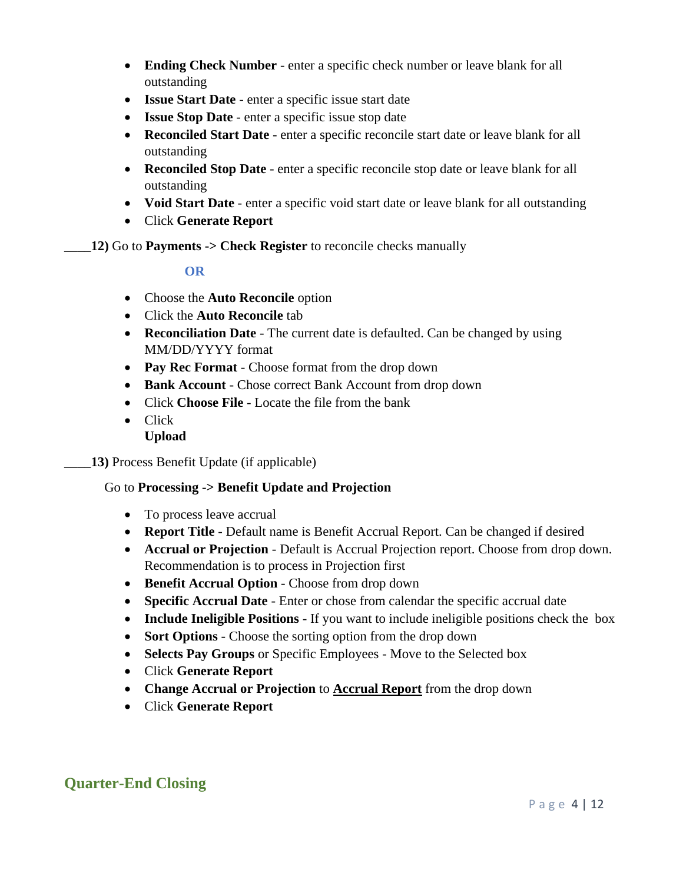- **Ending Check Number** enter a specific check number or leave blank for all outstanding
- **Issue Start Date** enter a specific issue start date
- **Issue Stop Date** enter a specific issue stop date
- **Reconciled Start Date** enter a specific reconcile start date or leave blank for all outstanding
- **Reconciled Stop Date** enter a specific reconcile stop date or leave blank for all outstanding
- **Void Start Date** enter a specific void start date or leave blank for all outstanding
- Click **Generate Report**
- \_\_\_\_**12)** Go to **Payments -> Check Register** to reconcile checks manually

### **OR**

- Choose the **Auto Reconcile** option
- Click the **Auto Reconcile** tab
- **Reconciliation Date** The current date is defaulted. Can be changed by using MM/DD/YYYY format
- **Pay Rec Format** Choose format from the drop down
- **Bank Account** Chose correct Bank Account from drop down
- Click **Choose File** Locate the file from the bank
- Click **Upload**
- \_\_\_\_**13)** Process Benefit Update (if applicable)

### Go to **Processing -> Benefit Update and Projection**

- To process leave accrual
- **Report Title** Default name is Benefit Accrual Report. Can be changed if desired
- **Accrual or Projection** Default is Accrual Projection report. Choose from drop down. Recommendation is to process in Projection first
- **Benefit Accrual Option** Choose from drop down
- **Specific Accrual Date** Enter or chose from calendar the specific accrual date
- **Include Ineligible Positions** If you want to include ineligible positions check the box
- **Sort Options** Choose the sorting option from the drop down
- **Selects Pay Groups** or Specific Employees Move to the Selected box
- Click **Generate Report**
- **Change Accrual or Projection** to **Accrual Report** from the drop down
- Click **Generate Report**

# **Quarter-End Closing**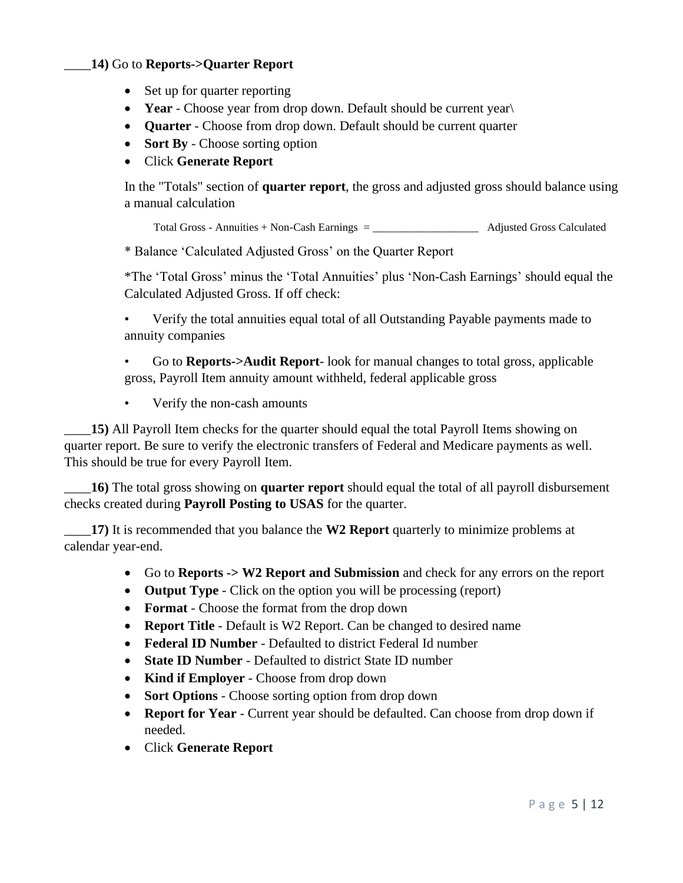### \_\_\_\_**14)** Go to **Reports->Quarter Report**

- Set up for quarter reporting
- **Year** Choose year from drop down. Default should be current year\
- **Quarter** Choose from drop down. Default should be current quarter
- **Sort By** Choose sorting option
- Click **Generate Report**

In the "Totals" section of **quarter report**, the gross and adjusted gross should balance using a manual calculation

Total Gross - Annuities + Non-Cash Earnings = \_\_\_\_\_\_\_\_\_\_\_\_\_\_\_\_\_\_\_ Adjusted Gross Calculated

\* Balance 'Calculated Adjusted Gross' on the Quarter Report

\*The 'Total Gross' minus the 'Total Annuities' plus 'Non-Cash Earnings' should equal the Calculated Adjusted Gross. If off check:

• Verify the total annuities equal total of all Outstanding Payable payments made to annuity companies

• Go to **Reports->Audit Report**- look for manual changes to total gross, applicable gross, Payroll Item annuity amount withheld, federal applicable gross

• Verify the non-cash amounts

\_\_\_\_**15)** All Payroll Item checks for the quarter should equal the total Payroll Items showing on quarter report. Be sure to verify the electronic transfers of Federal and Medicare payments as well. This should be true for every Payroll Item.

\_\_\_\_**16)** The total gross showing on **quarter report** should equal the total of all payroll disbursement checks created during **Payroll Posting to USAS** for the quarter.

\_\_\_\_**17)** It is recommended that you balance the **W2 Report** quarterly to minimize problems at calendar year-end.

- Go to **Reports -> W2 Report and Submission** and check for any errors on the report
- **Output Type** Click on the option you will be processing (report)
- **Format** Choose the format from the drop down
- **Report Title** Default is W2 Report. Can be changed to desired name
- **Federal ID Number** Defaulted to district Federal Id number
- **State ID Number** Defaulted to district State ID number
- **Kind if Employer** Choose from drop down
- **Sort Options** Choose sorting option from drop down
- **Report for Year** Current year should be defaulted. Can choose from drop down if needed.
- Click **Generate Report**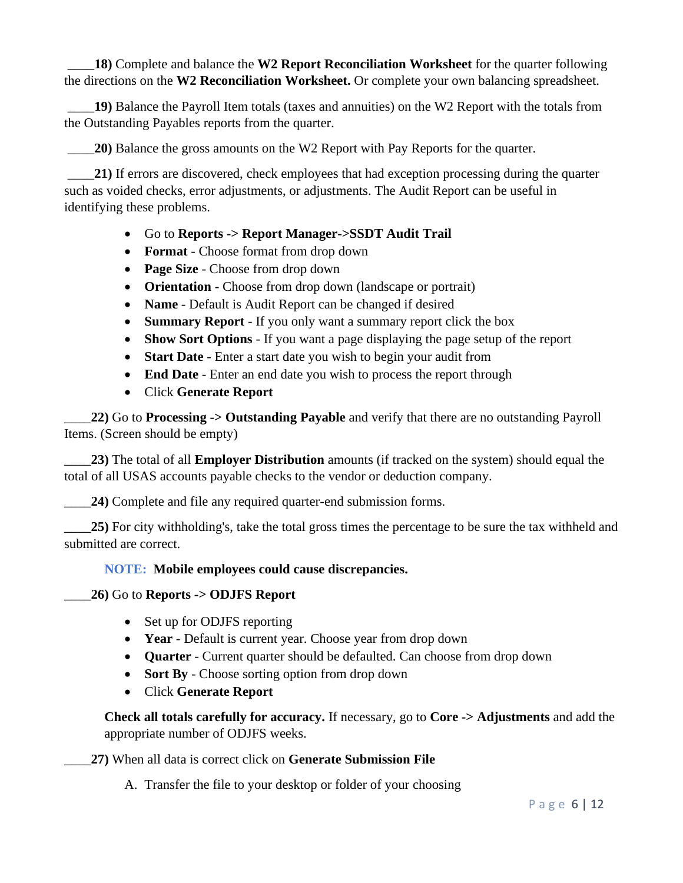\_\_\_\_**18)** Complete and balance the **W2 Report Reconciliation Worksheet** for the quarter following the directions on the **W2 Reconciliation Worksheet.** Or complete your own balancing spreadsheet.

\_\_\_\_**19)** Balance the Payroll Item totals (taxes and annuities) on the W2 Report with the totals from the Outstanding Payables reports from the quarter.

\_\_\_\_**20)** Balance the gross amounts on the W2 Report with Pay Reports for the quarter.

21) If errors are discovered, check employees that had exception processing during the quarter such as voided checks, error adjustments, or adjustments. The Audit Report can be useful in identifying these problems.

- Go to **Reports -> Report Manager->SSDT Audit Trail**
- **Format** Choose format from drop down
- **Page Size** Choose from drop down
- **Orientation** Choose from drop down (landscape or portrait)
- **Name** Default is Audit Report can be changed if desired
- **Summary Report** If you only want a summary report click the box
- **Show Sort Options** If you want a page displaying the page setup of the report
- **Start Date** Enter a start date you wish to begin your audit from
- **End Date** Enter an end date you wish to process the report through
- Click **Generate Report**

\_\_\_\_**22)** Go to **Processing -> Outstanding Payable** and verify that there are no outstanding Payroll Items. (Screen should be empty)

\_\_\_\_**23)** The total of all **Employer Distribution** amounts (if tracked on the system) should equal the total of all USAS accounts payable checks to the vendor or deduction company.

\_\_\_\_**24)** Complete and file any required quarter-end submission forms.

\_\_\_\_**25)** For city withholding's, take the total gross times the percentage to be sure the tax withheld and submitted are correct.

### **NOTE: Mobile employees could cause discrepancies.**

### \_\_\_\_**26)** Go to **Reports -> ODJFS Report**

- Set up for ODJFS reporting
- **Year** Default is current year. Choose year from drop down
- **Quarter** Current quarter should be defaulted. Can choose from drop down
- **Sort By** Choose sorting option from drop down
- Click **Generate Report**

**Check all totals carefully for accuracy.** If necessary, go to **Core -> Adjustments** and add the appropriate number of ODJFS weeks.

\_\_\_\_**27)** When all data is correct click on **Generate Submission File**

A. Transfer the file to your desktop or folder of your choosing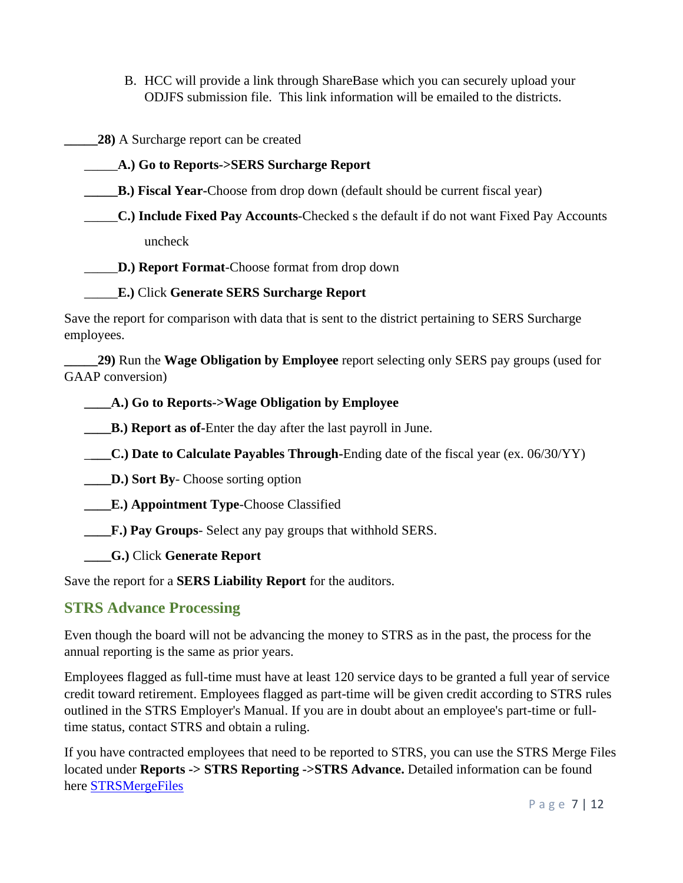- B. HCC will provide a link through ShareBase which you can securely upload your ODJFS submission file. This link information will be emailed to the districts.
- **\_\_\_\_\_28)** A Surcharge report can be created
- \_\_\_\_\_**A.) Go to Reports->SERS Surcharge Report**
- **B.) Fiscal Year-**Choose from drop down (default should be current fiscal year)

# \_\_\_\_\_**C.) Include Fixed Pay Accounts**-Checked s the default if do not want Fixed Pay Accounts uncheck

\_\_\_\_\_**D.) Report Format**-Choose format from drop down

### \_\_\_\_\_**E.)** Click **Generate SERS Surcharge Report**

Save the report for comparison with data that is sent to the district pertaining to SERS Surcharge employees.

**\_\_\_\_\_29)** Run the **Wage Obligation by Employee** report selecting only SERS pay groups (used for GAAP conversion)

### **\_\_\_\_A.) Go to Reports->Wage Obligation by Employee**

**\_\_\_\_B.) Report as of-**Enter the day after the last payroll in June.

\_**\_\_\_C.) Date to Calculate Payables Through-**Ending date of the fiscal year (ex. 06/30/YY)

**D.) Sort By-** Choose sorting option

 **\_\_\_\_E.) Appointment Type**-Choose Classified

**F.) Pay Groups-** Select any pay groups that withhold SERS.

**\_\_\_\_G.)** Click **Generate Report**

Save the report for a **SERS Liability Report** for the auditors.

### **STRS Advance Processing**

Even though the board will not be advancing the money to STRS as in the past, the process for the annual reporting is the same as prior years.

Employees flagged as full-time must have at least 120 service days to be granted a full year of service credit toward retirement. Employees flagged as part-time will be given credit according to STRS rules outlined in the STRS Employer's Manual. If you are in doubt about an employee's part-time or fulltime status, contact STRS and obtain a ruling.

If you have contracted employees that need to be reported to STRS, you can use the STRS Merge Files located under **Reports -> STRS Reporting ->STRS Advance.** Detailed information can be found here [STRSMergeFiles](https://wiki.ssdt-ohio.org/display/uspsrdoc/STRS+Advance#STRSAdvance-STRSMergeFiles)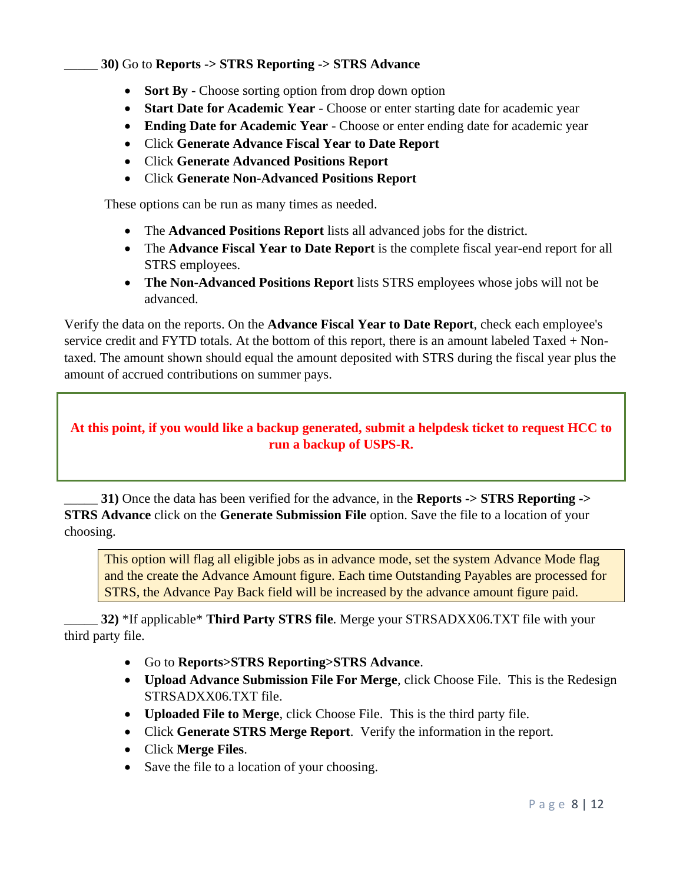### \_\_\_\_\_ **30)** Go to **Reports -> STRS Reporting -> STRS Advance**

- **Sort By** Choose sorting option from drop down option
- **Start Date for Academic Year** Choose or enter starting date for academic year
- **Ending Date for Academic Year** Choose or enter ending date for academic year
- Click **Generate Advance Fiscal Year to Date Report**
- Click **Generate Advanced Positions Report**
- Click **Generate Non-Advanced Positions Report**

These options can be run as many times as needed.

- The **Advanced Positions Report** lists all advanced jobs for the district.
- The **Advance Fiscal Year to Date Report** is the complete fiscal year-end report for all STRS employees.
- **The Non-Advanced Positions Report** lists STRS employees whose jobs will not be advanced.

Verify the data on the reports. On the **Advance Fiscal Year to Date Report**, check each employee's service credit and FYTD totals. At the bottom of this report, there is an amount labeled Taxed + Nontaxed. The amount shown should equal the amount deposited with STRS during the fiscal year plus the amount of accrued contributions on summer pays.

## **At this point, if you would like a backup generated, submit a helpdesk ticket to request HCC to run a backup of USPS-R.**

\_\_\_\_\_ **31)** Once the data has been verified for the advance, in the **Reports -> STRS Reporting -> STRS Advance** click on the **Generate Submission File** option. Save the file to a location of your choosing.

This option will flag all eligible jobs as in advance mode, set the system Advance Mode flag and the create the Advance Amount figure. Each time Outstanding Payables are processed for STRS, the Advance Pay Back field will be increased by the advance amount figure paid.

\_\_\_\_\_ **32)** \*If applicable\* **Third Party STRS file**. Merge your STRSADXX06.TXT file with your third party file.

- Go to **Reports>STRS Reporting>STRS Advance**.
- **Upload Advance Submission File For Merge**, click Choose File. This is the Redesign STRSADXX06.TXT file.
- **Uploaded File to Merge**, click Choose File. This is the third party file.
- Click **Generate STRS Merge Report**. Verify the information in the report.
- Click **Merge Files**.
- Save the file to a location of your choosing.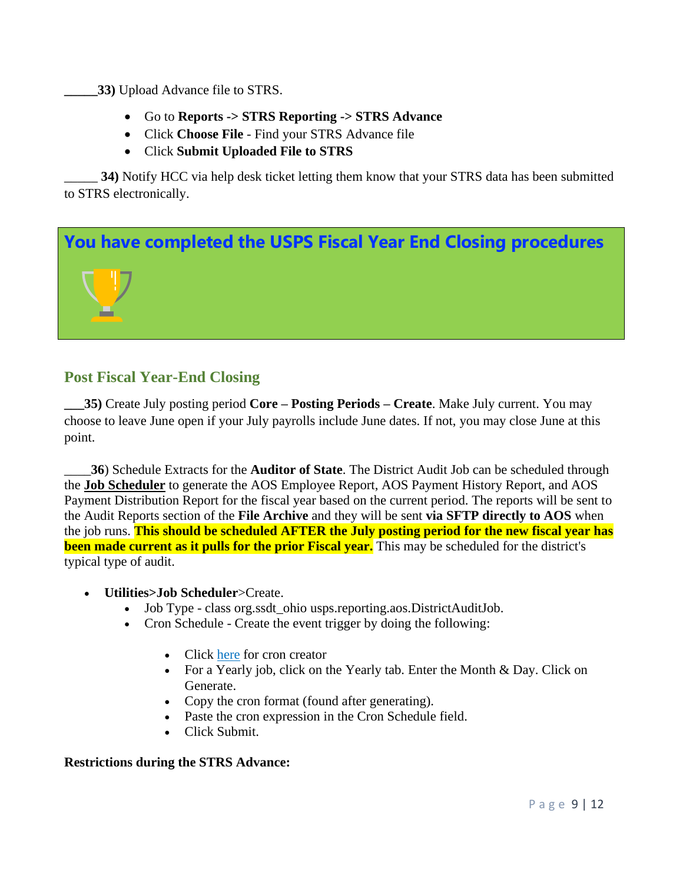**[33]** Upload Advance file to STRS.

- Go to **Reports -> STRS Reporting -> STRS Advance**
- Click **Choose File** Find your STRS Advance file
- Click **Submit Uploaded File to STRS**

34) Notify HCC via help desk ticket letting them know that your STRS data has been submitted to STRS electronically.

**You have completed the USPS Fiscal Year End Closing procedures**

## **Post Fiscal Year-End Closing**

**\_\_\_35)** Create July posting period **Core – Posting Periods – Create**. Make July current. You may choose to leave June open if your July payrolls include June dates. If not, you may close June at this point.

\_\_\_\_**36**) Schedule Extracts for the **Auditor of State**. The District Audit Job can be scheduled through the **[Job Scheduler](https://wiki.ssdt-ohio.org/display/uspsrdoc/Job+Scheduler#JobScheduler-CreateAuditJobs)** to generate the AOS Employee Report, AOS Payment History Report, and AOS Payment Distribution Report for the fiscal year based on the current period. The reports will be sent to the Audit Reports section of the **File Archive** and they will be sent **via SFTP directly to AOS** when the job runs. **This should be scheduled AFTER the July posting period for the new fiscal year has been made current as it pulls for the prior Fiscal year.** This may be scheduled for the district's typical type of audit.

- **Utilities>Job Scheduler**>Create.
	- Job Type class org.ssdt\_ohio usps.reporting.aos.DistrictAuditJob.
	- Cron Schedule Create the event trigger by doing the following:
		- Click [here](http://www.cronmaker.com/;jsessionid=node085ns78wmr7jgk7lma4pve8zj694250.node0?0) for cron creator
		- For a Yearly job, click on the Yearly tab. Enter the Month & Day. Click on Generate.
		- Copy the cron format (found after generating).
		- Paste the cron expression in the Cron Schedule field.
		- Click Submit.

#### **Restrictions during the STRS Advance:**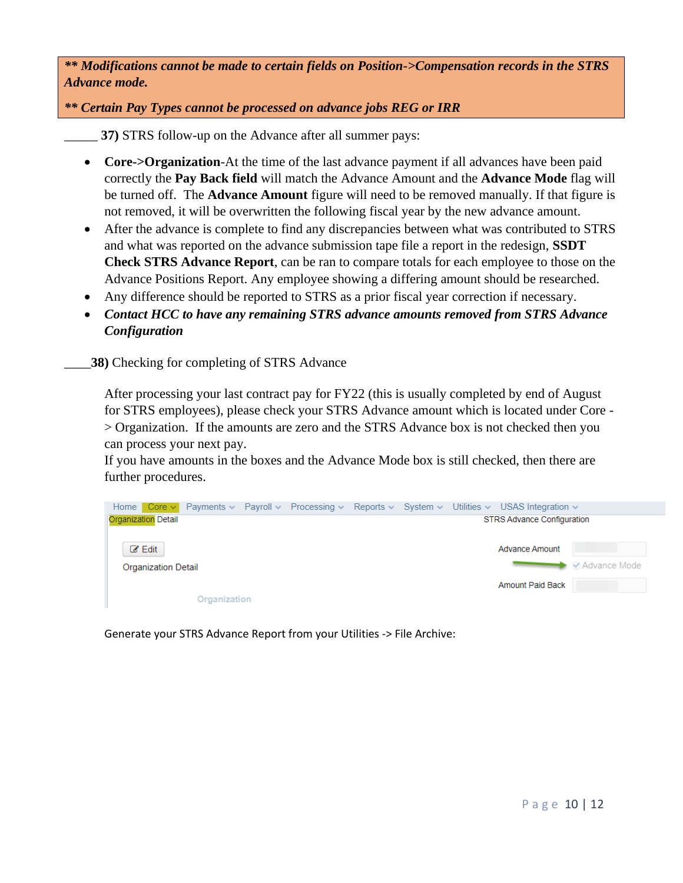*\*\* Modifications cannot be made to certain fields on Position->Compensation records in the STRS Advance mode.*

*\*\* Certain Pay Types cannot be processed on advance jobs REG or IRR*

\_\_\_\_\_ **37)** STRS follow-up on the Advance after all summer pays:

- **Core->Organization**-At the time of the last advance payment if all advances have been paid correctly the **Pay Back field** will match the Advance Amount and the **Advance Mode** flag will be turned off. The **Advance Amount** figure will need to be removed manually. If that figure is not removed, it will be overwritten the following fiscal year by the new advance amount.
- After the advance is complete to find any discrepancies between what was contributed to STRS and what was reported on the advance submission tape file a report in the redesign, **SSDT Check STRS Advance Report**, can be ran to compare totals for each employee to those on the Advance Positions Report. Any employee showing a differing amount should be researched.
- Any difference should be reported to STRS as a prior fiscal year correction if necessary.
- *Contact HCC to have any remaining STRS advance amounts removed from STRS Advance Configuration*

\_\_\_\_**38)** Checking for completing of STRS Advance

After processing your last contract pay for FY22 (this is usually completed by end of August for STRS employees), please check your STRS Advance amount which is located under Core - > Organization. If the amounts are zero and the STRS Advance box is not checked then you can process your next pay.

If you have amounts in the boxes and the Advance Mode box is still checked, then there are further procedures.



Generate your STRS Advance Report from your Utilities -> File Archive: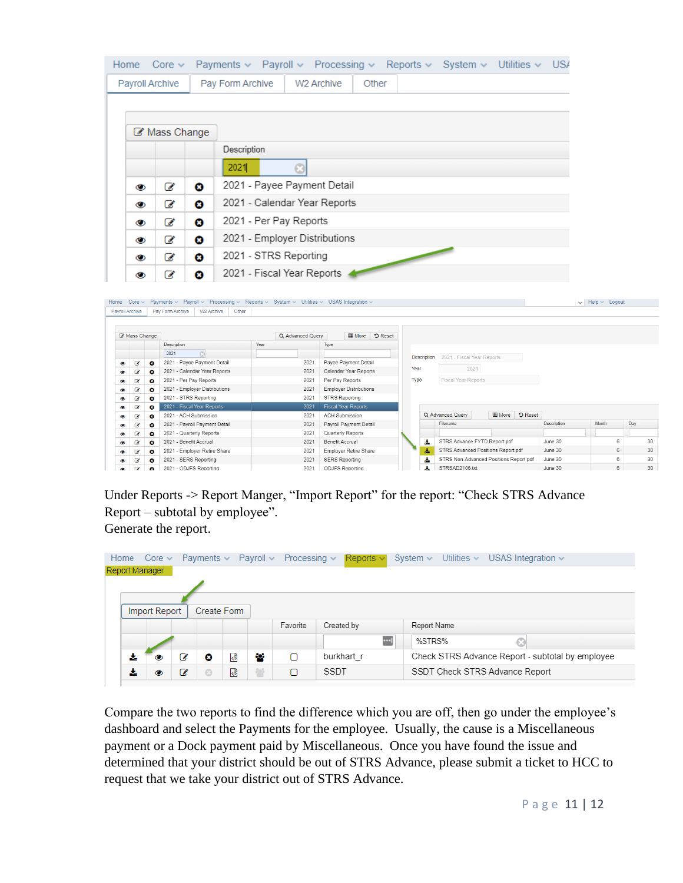| Home                   |                                                                                                                                                         |                                         |                             |                  |              |                                                                                     |                               |                                               |                    |                            |                            | Core v Payments v Payroll v Processing v Reports v System v Utilities v USA |                           |
|------------------------|---------------------------------------------------------------------------------------------------------------------------------------------------------|-----------------------------------------|-----------------------------|------------------|--------------|-------------------------------------------------------------------------------------|-------------------------------|-----------------------------------------------|--------------------|----------------------------|----------------------------|-----------------------------------------------------------------------------|---------------------------|
|                        |                                                                                                                                                         | Payroll Archive                         |                             | Pay Form Archive |              | W <sub>2</sub> Archive                                                              |                               |                                               | Other              |                            |                            |                                                                             |                           |
|                        |                                                                                                                                                         |                                         |                             |                  |              |                                                                                     |                               |                                               |                    |                            |                            |                                                                             |                           |
|                        |                                                                                                                                                         |                                         |                             |                  |              |                                                                                     |                               |                                               |                    |                            |                            |                                                                             |                           |
|                        |                                                                                                                                                         |                                         | ■ Mass Change               |                  |              |                                                                                     |                               |                                               |                    |                            |                            |                                                                             |                           |
|                        | Description                                                                                                                                             |                                         |                             |                  |              |                                                                                     |                               |                                               |                    |                            |                            |                                                                             |                           |
|                        |                                                                                                                                                         | 2021<br>œ                               |                             |                  |              |                                                                                     |                               |                                               |                    |                            |                            |                                                                             |                           |
|                        | 2021 - Payee Payment Detail<br>☞<br>Θ<br>◉                                                                                                              |                                         |                             |                  |              |                                                                                     |                               |                                               |                    |                            |                            |                                                                             |                           |
|                        | ◉                                                                                                                                                       | C                                       | ø                           |                  |              | 2021 - Calendar Year Reports                                                        |                               |                                               |                    |                            |                            |                                                                             |                           |
|                        | ◉                                                                                                                                                       | 2021 - Per Pay Reports<br>☞<br>o        |                             |                  |              |                                                                                     |                               |                                               |                    |                            |                            |                                                                             |                           |
|                        | ◉                                                                                                                                                       | 2021 - Employer Distributions<br>Θ<br>C |                             |                  |              |                                                                                     |                               |                                               |                    |                            |                            |                                                                             |                           |
|                        | ◉                                                                                                                                                       | 2021 - STRS Reporting<br>€<br>Θ         |                             |                  |              |                                                                                     |                               |                                               |                    |                            |                            |                                                                             |                           |
|                        | ◉                                                                                                                                                       | ☑                                       | ø                           |                  |              | 2021 - Fiscal Year Reports                                                          |                               |                                               |                    |                            |                            |                                                                             |                           |
|                        |                                                                                                                                                         |                                         |                             |                  |              |                                                                                     |                               |                                               |                    |                            |                            |                                                                             |                           |
|                        | Home $Core \vee$                                                                                                                                        |                                         |                             |                  |              | Payments v Payroll v Processing v Reports v System v Utilities v USAS Integration v |                               |                                               |                    |                            |                            |                                                                             | $\vee$ Help $\vee$ Logout |
| Payroll Archive        |                                                                                                                                                         | Pay Form Archive                        | W2 Archive                  | Other            |              |                                                                                     |                               |                                               |                    |                            |                            |                                                                             |                           |
|                        | C Mass Change                                                                                                                                           |                                         |                             |                  |              | Q Advanced Query                                                                    |                               | <b>田</b> More                                 | <b>D</b> Reset     |                            |                            |                                                                             |                           |
|                        |                                                                                                                                                         | Description                             |                             |                  | Year         |                                                                                     | Type                          |                                               |                    |                            |                            |                                                                             |                           |
|                        |                                                                                                                                                         |                                         | $\odot$<br>2021             |                  |              |                                                                                     |                               |                                               | <b>Description</b> | 2021 - Fiscal Year Reports |                            |                                                                             |                           |
| œ                      | C                                                                                                                                                       | $\bullet$                               | 2021 - Payee Payment Detail |                  | 2021<br>2021 |                                                                                     |                               | Payee Payment Detail<br>Calendar Year Reports |                    | Year                       | 2021                       |                                                                             |                           |
| $\bullet$<br>$\bullet$ | 2021 - Calendar Year Reports<br>$\epsilon$<br>ø<br>2021 - Per Pay Reports<br>$\epsilon$<br>$\bullet$<br>2021 - Employer Distributions<br>C<br>$\bullet$ |                                         |                             |                  |              | 2021                                                                                | Per Pay Reports               |                                               |                    | Type                       | <b>Fiscal Year Reports</b> |                                                                             |                           |
| $\bullet$              |                                                                                                                                                         |                                         |                             |                  |              | 2021                                                                                | <b>Employer Distributions</b> |                                               |                    |                            |                            |                                                                             |                           |
| œ                      | 2021 - STRS Reporting<br>C<br>$\bullet$                                                                                                                 |                                         |                             |                  |              | 2021                                                                                |                               | STRS Reporting                                |                    |                            |                            |                                                                             |                           |
| $\bullet$              | B                                                                                                                                                       | o                                       | 2021 - Fiscal Year Reports  |                  |              | 2021                                                                                |                               | <b>Fiscal Year Reports</b>                    |                    |                            |                            |                                                                             |                           |
|                        | $\sim$                                                                                                                                                  |                                         | 2021 ACU Submission         |                  |              | 2021                                                                                |                               | ACH Cubmiccion                                |                    |                            | O Advanced Ouery           | El More n Reset                                                             |                           |

| $\bullet$ | $\epsilon$            | $\bullet$ | 2021 - Fiscal Year Reports    | 2021 | <b>Fiscal Year Reports</b> |  |    |                                        |                |             |       |     |
|-----------|-----------------------|-----------|-------------------------------|------|----------------------------|--|----|----------------------------------------|----------------|-------------|-------|-----|
| $\bullet$ | $\alpha$              | Θ         | 2021 - ACH Submission         | 2021 | <b>ACH Submission</b>      |  |    | Q Advanced Query<br><b>ED</b> More     | <b>D</b> Reset |             |       |     |
| $\bullet$ | $\alpha$              | Θ         | 2021 - Payroll Payment Detail | 2021 | Payroll Payment Detail     |  |    | Filename                               |                | Description | Month | Day |
| ⊛         | œ                     | ø         | 2021 - Quarterly Reports      | 2021 | Quarterly Reports          |  |    |                                        |                |             |       |     |
| $\bullet$ | $\overline{a}$        | ø         | 2021 - Benefit Accrual        | 2021 | Benefit Accrual            |  | Æ. | STRS Advance FYTD Report.pdf           |                | June 30     |       | 30  |
| $\bullet$ | $\boldsymbol{\sigma}$ | ø         | 2021 - Employer Retire Share  | 2021 | Employer Retire Share      |  | Æ. | STRS Advanced Positions Report.pdf     |                | June 30     |       | 30  |
| $\circ$   | $\mathcal G$          | ø         | 2021 - SERS Reporting         | 2021 | <b>SERS Reporting</b>      |  | Æ. | STRS Non-Advanced Positions Report.pdf |                | June 30     |       | 30  |
|           | $\sim$                | o         | 2021 - ODJFS Reporting        | 2021 | ODJFS Reporting            |  |    | STRSAD2106.txt                         |                | June 30     |       | 30  |
|           |                       |           |                               |      |                            |  |    |                                        |                |             |       |     |

Under Reports -> Report Manger, "Import Report" for the report: "Check STRS Advance Report – subtotal by employee". Generate the report.

|    |                      |    |         |             |     | Home Core $\vee$ Payments $\vee$ Payroll $\vee$ Processing $\vee$ | Reports $\vee$ | Utilities $\sim$<br>USAS Integration $\sim$<br>System $\sim$ |
|----|----------------------|----|---------|-------------|-----|-------------------------------------------------------------------|----------------|--------------------------------------------------------------|
|    | Report Manager       |    |         |             |     |                                                                   |                |                                                              |
|    |                      |    |         |             |     |                                                                   |                |                                                              |
|    |                      |    |         |             |     |                                                                   |                |                                                              |
|    | <b>Import Report</b> |    |         | Create Form |     |                                                                   |                |                                                              |
|    |                      |    |         |             |     | Favorite                                                          | Created by     | Report Name                                                  |
|    |                      |    |         |             |     |                                                                   |                | %STRS%<br>C                                                  |
| ÷. | ത                    | и  | ø       | கி          | 808 | Ω                                                                 | burkhart r     | Check STRS Advance Report - subtotal by employee             |
|    |                      | ہے | $\odot$ | 冈           | 놜   | $\Box$                                                            | <b>SSDT</b>    | SSDT Check STRS Advance Report                               |

Compare the two reports to find the difference which you are off, then go under the employee's dashboard and select the Payments for the employee. Usually, the cause is a Miscellaneous payment or a Dock payment paid by Miscellaneous. Once you have found the issue and determined that your district should be out of STRS Advance, please submit a ticket to HCC to request that we take your district out of STRS Advance.